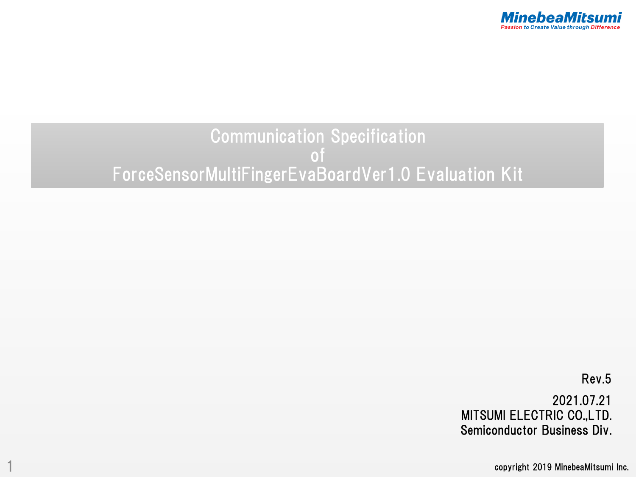

# Communication Specification of ForceSensorMultiFingerEvaBoardVer1.0 Evaluation Kit

Rev.5 2021.07.21 MITSUMI ELECTRIC CO.,LTD. Semiconductor Business Div.

copyright 2019 MinebeaMitsumi Inc.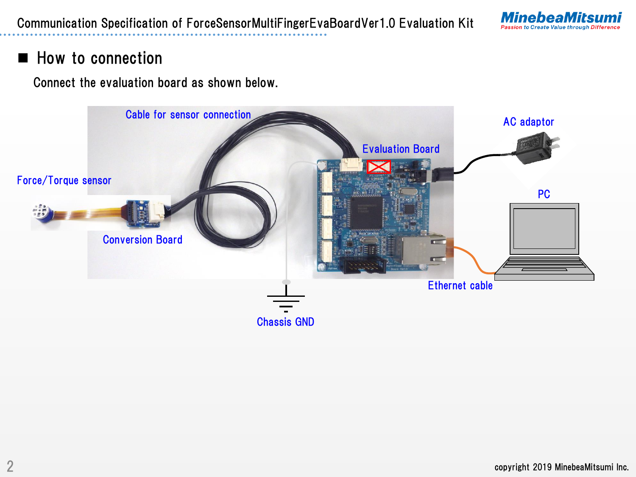

### How to connection

Connect the evaluation board as shown below.

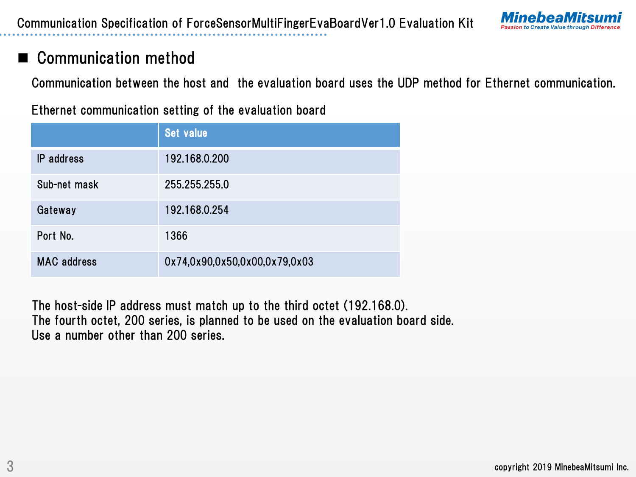

### Communication method

Communication between the host and the evaluation board uses the UDP method for Ethernet communication.

Ethernet communication setting of the evaluation board

|                    | <b>Set value</b>              |
|--------------------|-------------------------------|
| <b>IP</b> address  | 192.168.0.200                 |
| Sub-net mask       | 255.255.255.0                 |
| Gateway            | 192.168.0.254                 |
| Port No.           | 1366                          |
| <b>MAC</b> address | 0x74,0x90,0x50,0x00,0x79,0x03 |

The host-side IP address must match up to the third octet (192.168.0). The fourth octet, 200 series, is planned to be used on the evaluation board side. Use a number other than 200 series.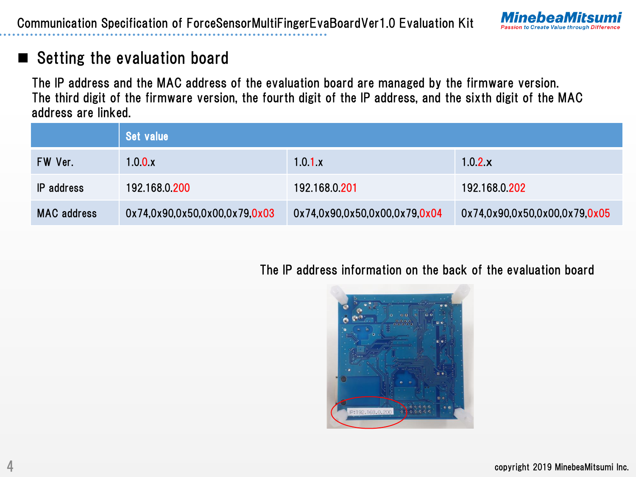

### Setting the evaluation board

The IP address and the MAC address of the evaluation board are managed by the firmware version. The third digit of the firmware version, the fourth digit of the IP address, and the sixth digit of the MAC address are linked.

|                    | Set value                     |                               |                               |
|--------------------|-------------------------------|-------------------------------|-------------------------------|
| FW Ver.            | 1.0.0.x                       | 1.0.1.x                       | 1.0.2.x                       |
| IP address         | 192.168.0.200                 | 192.168.0.201                 | 192.168.0.202                 |
| <b>MAC</b> address | 0x74,0x90,0x50,0x00,0x79,0x03 | 0x74,0x90,0x50,0x00,0x79,0x04 | 0x74,0x90,0x50,0x00,0x79,0x05 |

The IP address information on the back of the evaluation board

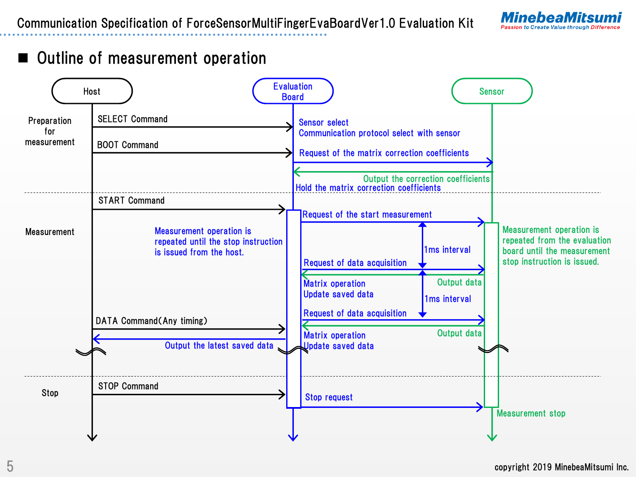

### Outline of measurement operation

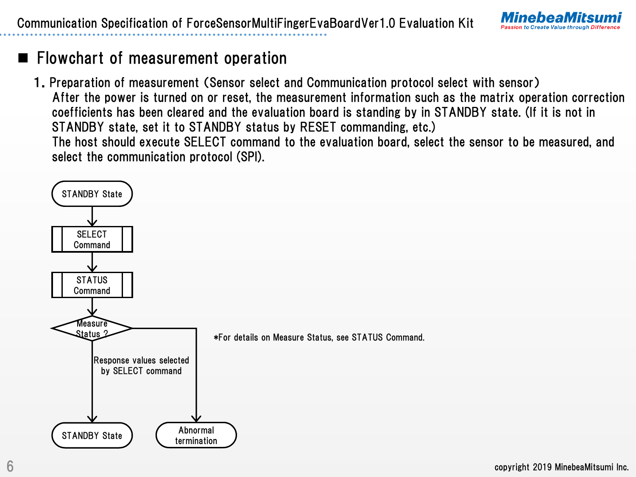

# $\blacksquare$  Flowchart of measurement operation

1.Preparation of measurement (Sensor select and Communication protocol select with sensor) After the power is turned on or reset, the measurement information such as the matrix operation correction coefficients has been cleared and the evaluation board is standing by in STANDBY state. (If it is not in STANDBY state, set it to STANDBY status by RESET commanding, etc.) The host should execute SELECT command to the evaluation board, select the sensor to be measured, and select the communication protocol (SPI).

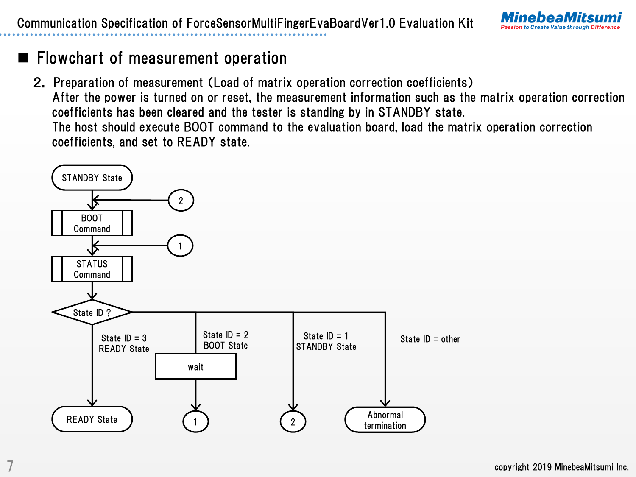

2. Preparation of measurement (Load of matrix operation correction coefficients) After the power is turned on or reset, the measurement information such as the matrix operation correction coefficients has been cleared and the tester is standing by in STANDBY state. The host should execute BOOT command to the evaluation board, load the matrix operation correction coefficients, and set to READY state.

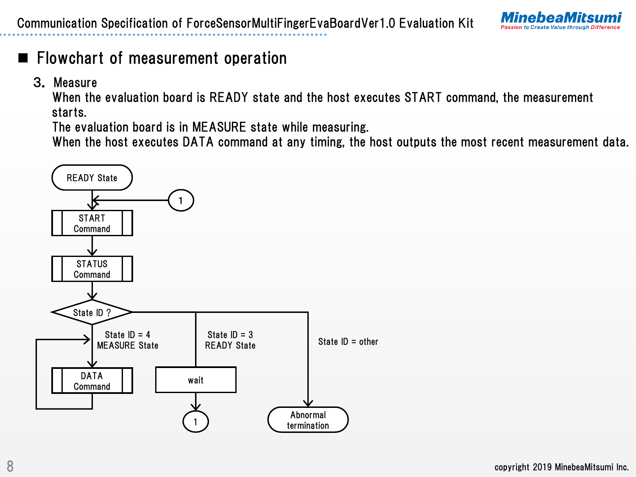

3. Measure

When the evaluation board is READY state and the host executes START command, the measurement starts.

The evaluation board is in MEASURE state while measuring.

When the host executes DATA command at any timing, the host outputs the most recent measurement data.

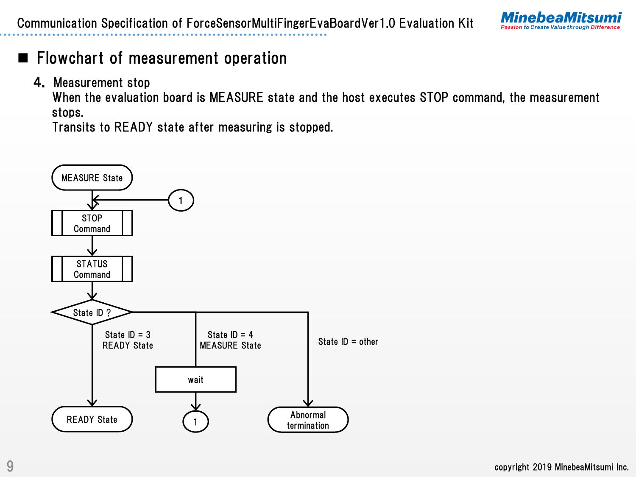

4. Measurement stop

When the evaluation board is MEASURE state and the host executes STOP command, the measurement stops.

Transits to READY state after measuring is stopped.

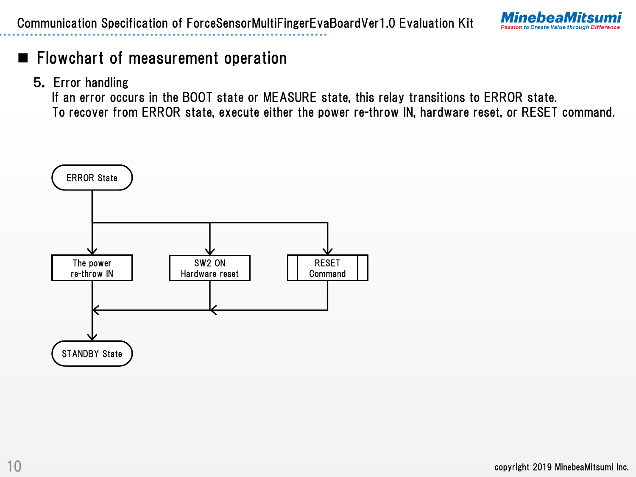

5. Error handling

If an error occurs in the BOOT state or MEASURE state, this relay transitions to ERROR state. To recover from ERROR state, execute either the power re-throw IN, hardware reset, or RESET command.

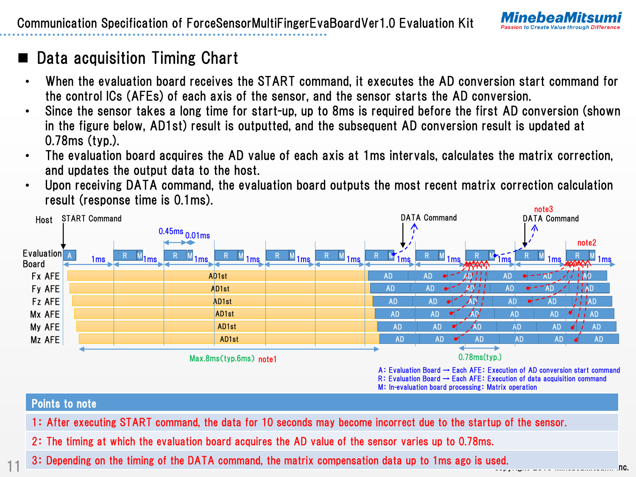

# Data acquisition Timing Chart

11

- When the evaluation board receives the START command, it executes the AD conversion start command for the control ICs (AFEs) of each axis of the sensor, and the sensor starts the AD conversion.
- Since the sensor takes a long time for start-up, up to 8ms is required before the first AD conversion (shown in the figure below, AD1st) result is outputted, and the subsequent AD conversion result is updated at 0.78ms (typ.).
- The evaluation board acquires the AD value of each axis at 1ms intervals, calculates the matrix correction, and updates the output data to the host.
- Upon receiving DATA command, the evaluation board outputs the most recent matrix correction calculation result (response time is 0.1ms). note3



- 1: After executing START command, the data for 10 seconds may become incorrect due to the startup of the sensor.
- 2: The timing at which the evaluation board acquires the AD value of the sensor varies up to 0.78ms.
- copyright 2019 MinebeaMitsumi Inc. 3: Depending on the timing of the DATA command, the matrix compensation data up to 1ms ago is used.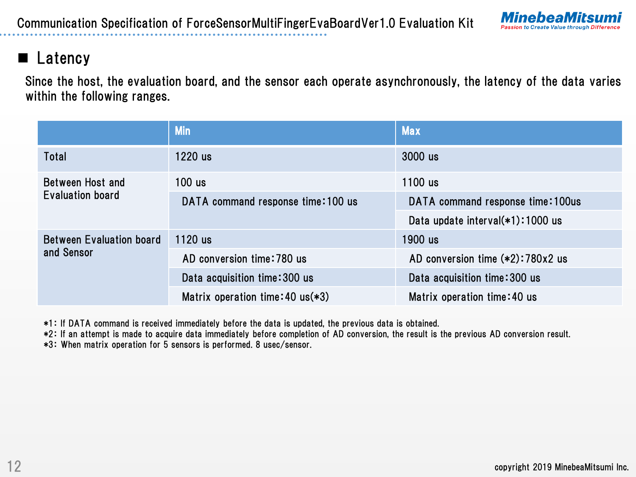

### ■ Latency

Since the host, the evaluation board, and the sensor each operate asynchronously, the latency of the data varies within the following ranges.

|                                               | <b>Min</b>                         | <b>Max</b>                         |
|-----------------------------------------------|------------------------------------|------------------------------------|
| Total                                         | $1220$ us                          | 3000 us                            |
| Between Host and                              | $100$ us                           | 1100 us                            |
| Evaluation board                              | DATA command response time: 100 us | DATA command response time: 100us  |
|                                               |                                    | Data update interval(*1):1000 us   |
| <b>Between Evaluation board</b><br>and Sensor | $1120$ us                          | 1900 us                            |
|                                               | AD conversion time: 780 us         | AD conversion time $(*2):780x2$ us |
|                                               | Data acquisition time: 300 us      | Data acquisition time: 300 us      |
|                                               | Matrix operation time: 40 $us(*3)$ | Matrix operation time: 40 us       |

\*1: If DATA command is received immediately before the data is updated, the previous data is obtained.

\*2: If an attempt is made to acquire data immediately before completion of AD conversion, the result is the previous AD conversion result.

\*3: When matrix operation for 5 sensors is performed. 8 usec/sensor.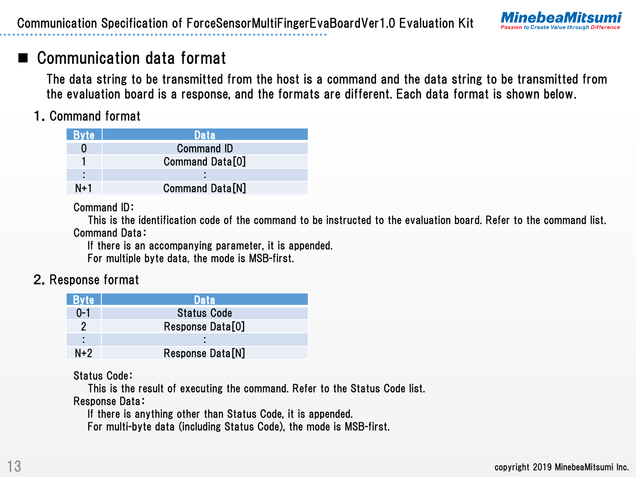

# Communication data format

The data string to be transmitted from the host is a command and the data string to be transmitted from the evaluation board is a response, and the formats are different. Each data format is shown below.

### 1.Command format

| <b>Byte</b> | Data                   |
|-------------|------------------------|
|             | <b>Command ID</b>      |
|             | Command Data[0]        |
| ٠           |                        |
| N+1         | <b>Command Data[N]</b> |

#### Command ID:

This is the identification code of the command to be instructed to the evaluation board. Refer to the command list. Command Data:

If there is an accompanying parameter, it is appended.

For multiple byte data, the mode is MSB-first.

### 2.Response format

| <b>Byte</b> | <b>Data</b>        |
|-------------|--------------------|
| $0 - 1$     | <b>Status Code</b> |
| 2           | Response Data[0]   |
|             |                    |
| $N+2$       | Response Data[N]   |

#### Status Code:

This is the result of executing the command. Refer to the Status Code list. Response Data:

If there is anything other than Status Code, it is appended.

For multi-byte data (including Status Code), the mode is MSB-first.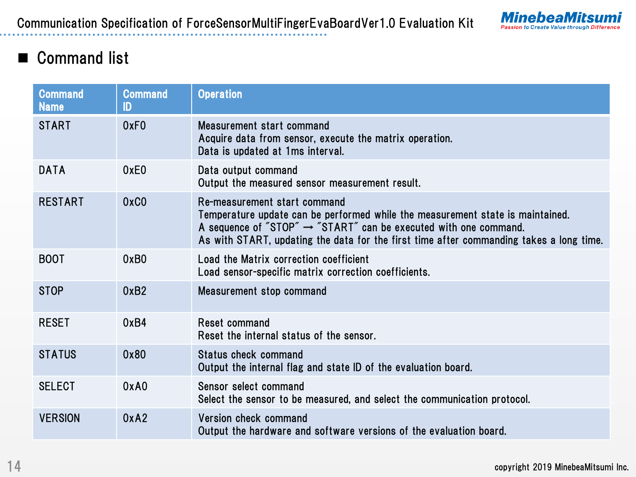

# ■ Command list

| <b>Command</b><br><b>Name</b> | <b>Command</b><br>ID | <b>Operation</b>                                                                                                                                                                                                                                                                          |  |
|-------------------------------|----------------------|-------------------------------------------------------------------------------------------------------------------------------------------------------------------------------------------------------------------------------------------------------------------------------------------|--|
| <b>START</b>                  | 0xF <sub>0</sub>     | Measurement start command<br>Acquire data from sensor, execute the matrix operation.<br>Data is updated at 1ms interval.                                                                                                                                                                  |  |
| <b>DATA</b>                   | 0xE0                 | Data output command<br>Output the measured sensor measurement result.                                                                                                                                                                                                                     |  |
| <b>RESTART</b>                | 0xC0                 | Re-measurement start command<br>Temperature update can be performed while the measurement state is maintained.<br>A sequence of "STOP" $\rightarrow$ "START" can be executed with one command.<br>As with START, updating the data for the first time after commanding takes a long time. |  |
| <b>BOOT</b>                   | 0xB0                 | Load the Matrix correction coefficient<br>Load sensor-specific matrix correction coefficients.                                                                                                                                                                                            |  |
| <b>STOP</b>                   | 0xB2                 | Measurement stop command                                                                                                                                                                                                                                                                  |  |
| <b>RESET</b>                  | 0xB4                 | Reset command<br>Reset the internal status of the sensor.                                                                                                                                                                                                                                 |  |
| <b>STATUS</b>                 | 0x80                 | Status check command<br>Output the internal flag and state ID of the evaluation board.                                                                                                                                                                                                    |  |
| <b>SELECT</b>                 | 0xA0                 | Sensor select command<br>Select the sensor to be measured, and select the communication protocol.                                                                                                                                                                                         |  |
| <b>VERSION</b>                | 0xA2                 | Version check command<br>Output the hardware and software versions of the evaluation board.                                                                                                                                                                                               |  |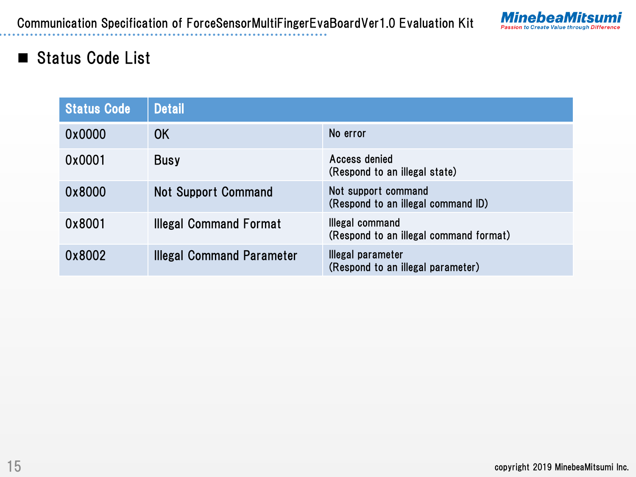

### Status Code List

| <b>Status Code</b> | <b>Detail</b>                    |                                                           |
|--------------------|----------------------------------|-----------------------------------------------------------|
| 0x0000             | 0K                               | No error                                                  |
| 0x0001             | <b>Busy</b>                      | Access denied<br>(Respond to an illegal state)            |
| 0x8000             | <b>Not Support Command</b>       | Not support command<br>(Respond to an illegal command ID) |
| 0x8001             | <b>Illegal Command Format</b>    | Illegal command<br>(Respond to an illegal command format) |
| 0x8002             | <b>Illegal Command Parameter</b> | Illegal parameter<br>(Respond to an illegal parameter)    |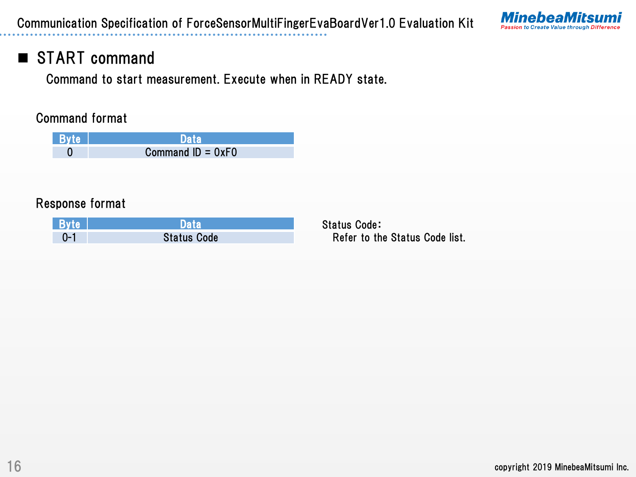

# START command

Command to start measurement. Execute when in READY state.

#### Command format

| <b>Byte</b> | Data                |
|-------------|---------------------|
|             | Command $ID = OxFO$ |

#### Response format

| <b>Byte</b> | Data               |
|-------------|--------------------|
|             | <b>Status Code</b> |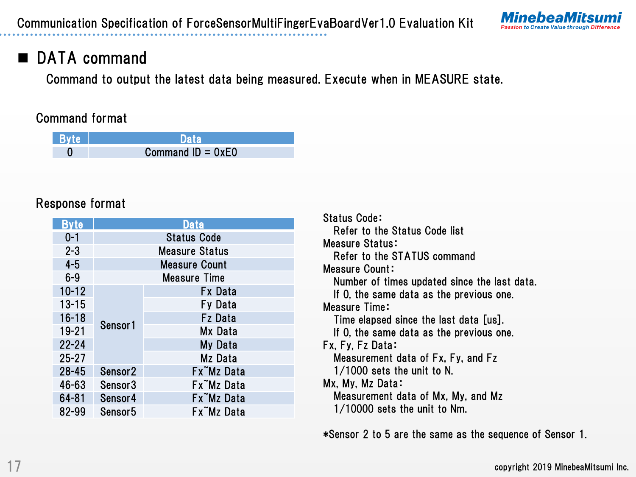

# DATA command

Command to output the latest data being measured. Execute when in MEASURE state.

#### Command format

| Byte |                     |
|------|---------------------|
|      | Command $ID = 0xE0$ |

#### Response format

| <b>Byte</b> |                     | Data                  |
|-------------|---------------------|-----------------------|
| $0 - 1$     | <b>Status Code</b>  |                       |
| $2 - 3$     |                     | <b>Measure Status</b> |
| $4 - 5$     |                     | <b>Measure Count</b>  |
| $6 - 9$     |                     | <b>Measure Time</b>   |
| $10 - 12$   |                     | <b>Fx Data</b>        |
| $13 - 15$   | Sensor <sub>1</sub> | Fy Data               |
| $16 - 18$   |                     | <b>Fz</b> Data        |
| $19 - 21$   |                     | Mx Data               |
| $22 - 24$   |                     | My Data               |
| $25 - 27$   |                     | Mz Data               |
| $28 - 45$   | Sensor <sub>2</sub> | Fx Mz Data            |
| 46-63       | Sensor3             | Fx Mz Data            |
| 64-81       | Sensor4             | Fx Mz Data            |
| 82-99       | Sensor <sub>5</sub> | Fx Mz Data            |

Status Code: Refer to the Status Code list Measure Status: Refer to the STATUS command Measure Count: Number of times updated since the last data. If 0, the same data as the previous one. Measure Time: Time elapsed since the last data [us]. If 0, the same data as the previous one. Fx, Fy, Fz Data: Measurement data of Fx, Fy, and Fz 1/1000 sets the unit to N. Mx, My, Mz Data: Measurement data of Mx, My, and Mz 1/10000 sets the unit to Nm.

\*Sensor 2 to 5 are the same as the sequence of Sensor 1.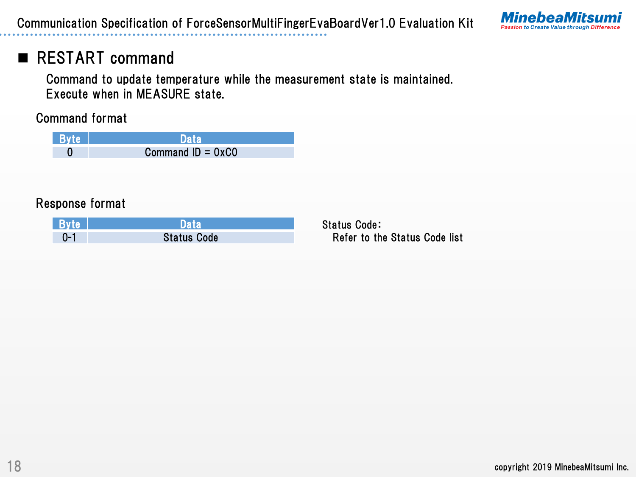

# RESTART command

Command to update temperature while the measurement state is maintained. Execute when in MEASURE state.

Command format

| <b>Byte</b> |                     |
|-------------|---------------------|
|             | Command $ID = 0xCO$ |

#### Response format

| <b>Byte</b> |                    |
|-------------|--------------------|
| :∟ר         | <b>Status Code</b> |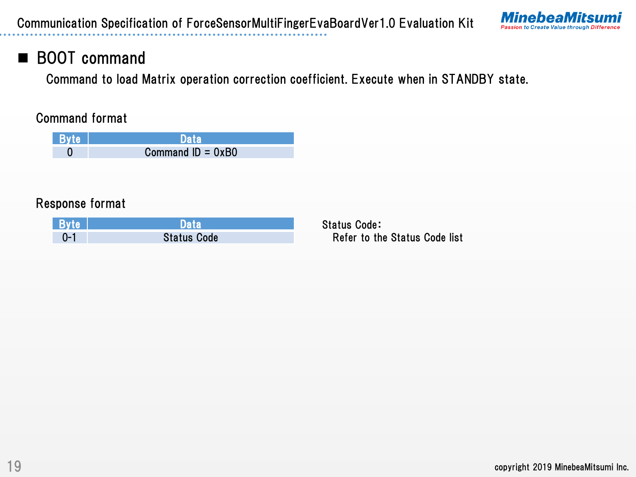

# BOOT command

Command to load Matrix operation correction coefficient. Execute when in STANDBY state.

#### Command format

| <b>Byte</b> | Data                |
|-------------|---------------------|
|             | Command $ID = 0xB0$ |

### Response format

| <b>Byte</b> | )ata               |
|-------------|--------------------|
|             | <b>Status Code</b> |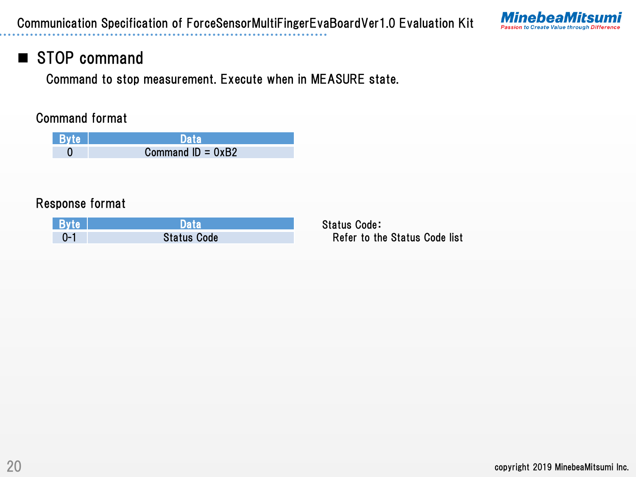

### STOP command

Command to stop measurement. Execute when in MEASURE state.

#### Command format

| <b>Byte</b> | <b>Data</b>         |
|-------------|---------------------|
|             | Command $ID = 0xB2$ |

#### Response format

| <b>Byte</b> | Data               |
|-------------|--------------------|
|             | <b>Status Code</b> |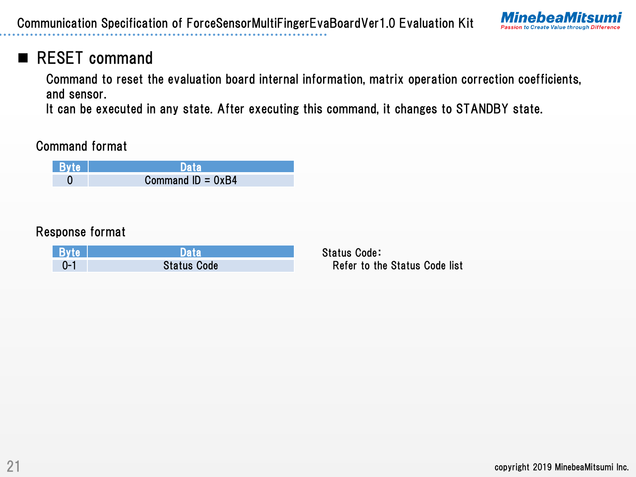

# RESET command

Command to reset the evaluation board internal information, matrix operation correction coefficients, and sensor.

It can be executed in any state. After executing this command, it changes to STANDBY state.

Command format



### Response format

| ⊾ Bvte' |                    |
|---------|--------------------|
|         | <b>Status Code</b> |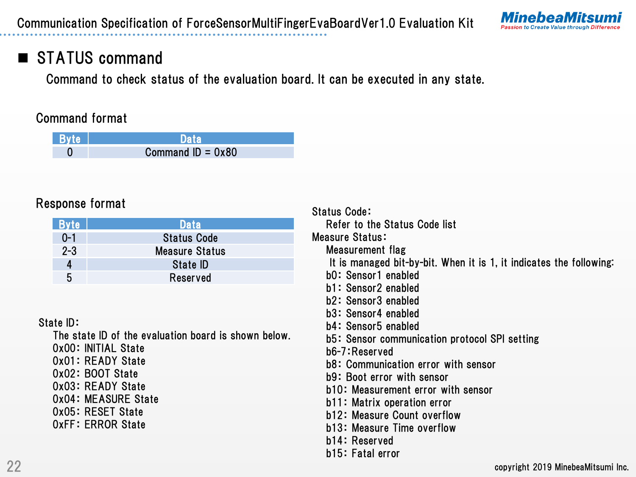

# STATUS command

Command to check status of the evaluation board. It can be executed in any state.

#### Command format

| <b>Byte</b> | <b>Data</b>         |
|-------------|---------------------|
|             | Command $ID = 0x80$ |

### Response format

| <b>Byte</b> | Data                  |
|-------------|-----------------------|
| $0 - 1$     | <b>Status Code</b>    |
| $2 - 3$     | <b>Measure Status</b> |
|             | State <b>ID</b>       |
| 5           | Reserved              |

#### State ID:

The state ID of the evaluation board is shown below.

0x00: INITIAL State

- 0x01: READY State
- 0x02: BOOT State
- 0x03: READY State
- 0x04: MEASURE State
- 0x05: RESET State
- 0xFF: ERROR State

Status Code: Refer to the Status Code list Measure Status: Measurement flag It is managed bit-by-bit. When it is 1, it indicates the following: b0: Sensor1 enabled b1: Sensor2 enabled b2: Sensor3 enabled b3: Sensor4 enabled b4: Sensor5 enabled b5: Sensor communication protocol SPI setting b6-7:Reserved b8: Communication error with sensor b9: Boot error with sensor b10: Measurement error with sensor b11: Matrix operation error b12: Measure Count overflow b13: Measure Time overflow b14: Reserved b15: Fatal error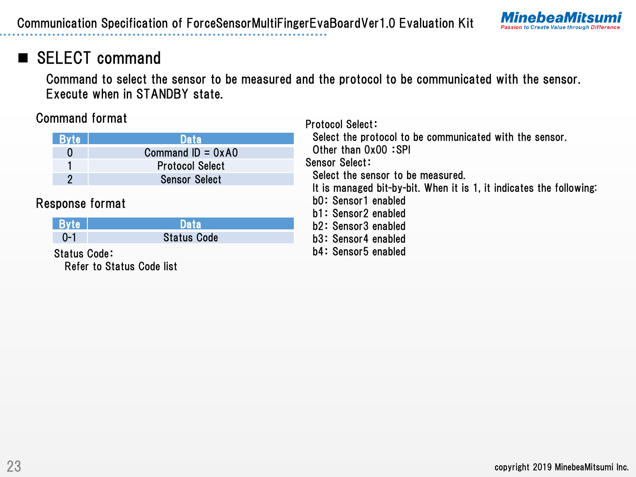

# SELECT command

Command to select the sensor to be measured and the protocol to be communicated with the sensor. Execute when in STANDBY state.

Protocol Select:

### Command format

Refer to Status Code list

|                     |                        | 1 1 0 1 0 0 0 1 0 0 1 0 0 1 <del>1</del>                                                                                                               |  |  |  |  |
|---------------------|------------------------|--------------------------------------------------------------------------------------------------------------------------------------------------------|--|--|--|--|
| <b>Byte</b>         | <b>Data</b>            | Select the protocol to be communicated with the sensor.<br>Other than 0x00:SPI<br>Sensor Select:                                                       |  |  |  |  |
| $\boldsymbol{0}$    | Command $ID = 0xAO$    |                                                                                                                                                        |  |  |  |  |
|                     | <b>Protocol Select</b> |                                                                                                                                                        |  |  |  |  |
| $\overline{2}$      | <b>Sensor Select</b>   | Select the sensor to be measured.<br>It is managed bit-by-bit. When it is 1, it indicates the following:<br>b0: Sensor1 enabled<br>b1: Sensor2 enabled |  |  |  |  |
|                     |                        |                                                                                                                                                        |  |  |  |  |
|                     | Response format        |                                                                                                                                                        |  |  |  |  |
|                     |                        |                                                                                                                                                        |  |  |  |  |
| <b>Byte</b>         | <b>Data</b>            | b2: Sensor3 enabled                                                                                                                                    |  |  |  |  |
| $0 - 1$             | <b>Status Code</b>     | b3: Sensor4 enabled                                                                                                                                    |  |  |  |  |
| <b>Status Code:</b> |                        | b4: Sensor5 enabled                                                                                                                                    |  |  |  |  |
|                     |                        |                                                                                                                                                        |  |  |  |  |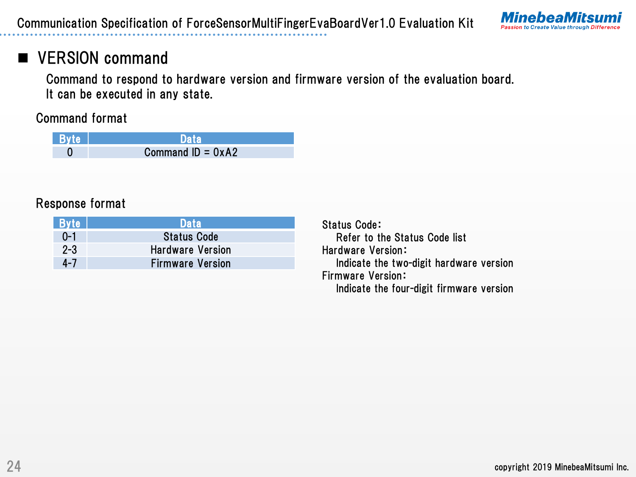

# **VERSION command**

Command to respond to hardware version and firmware version of the evaluation board. It can be executed in any state.

Command format

| Byte | <b>Data</b>         |
|------|---------------------|
|      | Command $ID = 0xA2$ |

### Response format

| <b>Byte</b> | <b>\Data</b>            |
|-------------|-------------------------|
| $0 - 1$     | <b>Status Code</b>      |
| $2 - 3$     | <b>Hardware Version</b> |
| $4 - 7$     | <b>Firmware Version</b> |

Status Code: Refer to the Status Code list Hardware Version: Indicate the two-digit hardware version Firmware Version: Indicate the four-digit firmware version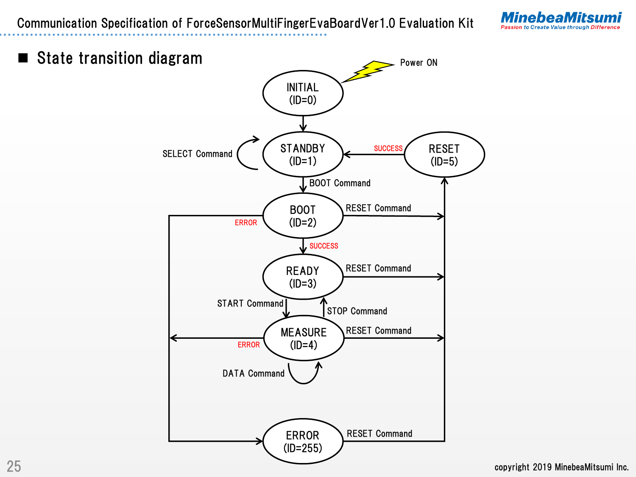Communication Specification of ForceSensorMultiFingerEvaBoardVer1.0 Evaluation Kit







25 copyright 2019 MinebeaMitsumi Inc.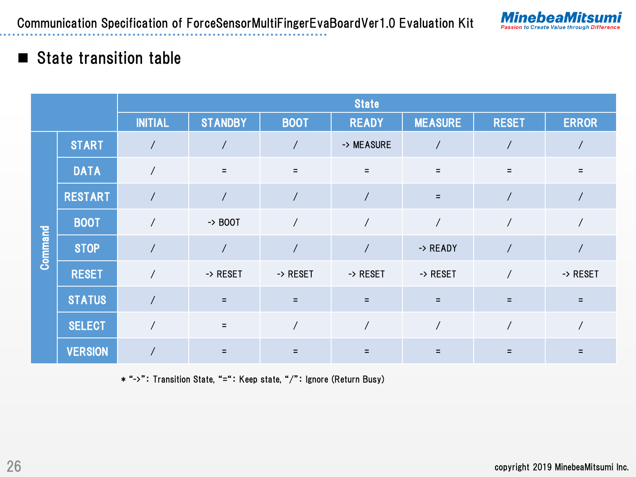

### State transition table

|         |                | <b>State</b>             |                    |                |              |                |                |              |
|---------|----------------|--------------------------|--------------------|----------------|--------------|----------------|----------------|--------------|
|         |                | <b>INITIAL</b>           | <b>STANDBY</b>     | <b>BOOT</b>    | <b>READY</b> | <b>MEASURE</b> | <b>RESET</b>   | <b>ERROR</b> |
|         | <b>START</b>   |                          | $\prime$           | $\prime$       | -> MEASURE   |                |                |              |
|         | <b>DATA</b>    | $\overline{1}$           | $=$                | $\equiv$       | $\equiv$     | $=$            | $\equiv$       | $\equiv$     |
|         | <b>RESTART</b> | $\overline{\phantom{a}}$ | $\prime$           |                |              | Ξ              |                |              |
|         | <b>BOOT</b>    | $\overline{1}$           | $\rightarrow$ BOOT | $\overline{1}$ |              | $\overline{1}$ | $\prime$       |              |
| Command | <b>STOP</b>    |                          | $\prime$           |                |              | -> READY       | $\overline{1}$ |              |
|         | <b>RESET</b>   |                          | -> RESET           | -> RESET       | -> RESET     | -> RESET       | $\overline{1}$ | -> RESET     |
|         | <b>STATUS</b>  |                          | $\equiv$           | $=$            | $\equiv$     | Ξ              | Ξ              | Ξ            |
|         | <b>SELECT</b>  |                          | $\equiv$           |                |              |                |                |              |
|         | <b>VERSION</b> |                          |                    |                | Ξ            |                |                |              |

\* "->": Transition State, "=": Keep state, "/": Ignore (Return Busy)